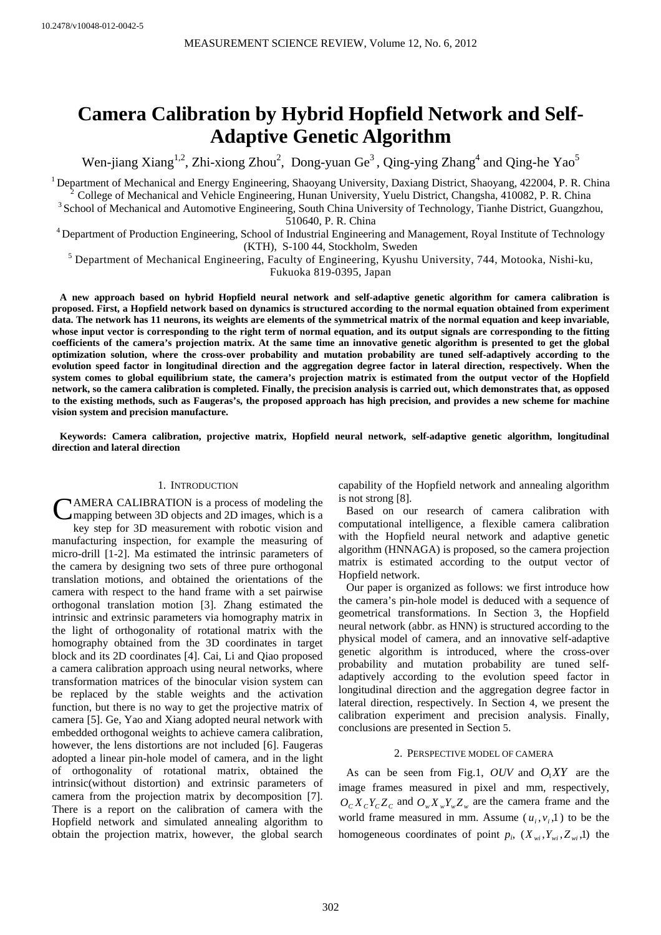# **Camera Calibration by Hybrid Hopfield Network and Self-Adaptive Genetic Algorithm**

Wen-jiang Xiang<sup>1,2</sup>, Zhi-xiong Zhou<sup>2</sup>, Dong-yuan Ge<sup>3</sup>, Qing-ying Zhang<sup>4</sup> and Qing-he Yao<sup>5</sup>

<sup>1</sup> Department of Mechanical and Energy Engineering, Shaoyang University, Daxiang District, Shaoyang, 422004, P. R. China  $^{2}$  College of Mechanical and Vehicle Engineering, Hunan University, Yuelu District, Changsha, 41

510640, P. R. China 4 Department of Production Engineering, School of Industrial Engineering and Management, Royal Institute of Technology

KTH), S-100 44, Stockholm, Sweden<br><sup>5</sup> Department of Mechanical Engineering, Faculty of Engineering, Kyushu University, 744, Motooka, Nishi-ku,

Fukuoka 819-0395, Japan

**A new approach based on hybrid Hopfield neural network and self-adaptive genetic algorithm for camera calibration is proposed. First, a Hopfield network based on dynamics is structured according to the normal equation obtained from experiment data. The network has 11 neurons, its weights are elements of the symmetrical matrix of the normal equation and keep invariable, whose input vector is corresponding to the right term of normal equation, and its output signals are corresponding to the fitting coefficients of the camera's projection matrix. At the same time an innovative genetic algorithm is presented to get the global optimization solution, where the cross-over probability and mutation probability are tuned self-adaptively according to the evolution speed factor in longitudinal direction and the aggregation degree factor in lateral direction, respectively. When the system comes to global equilibrium state, the camera's projection matrix is estimated from the output vector of the Hopfield network, so the camera calibration is completed. Finally, the precision analysis is carried out, which demonstrates that, as opposed to the existing methods, such as Faugeras's, the proposed approach has high precision, and provides a new scheme for machine vision system and precision manufacture.** 

**Keywords: Camera calibration, projective matrix, Hopfield neural network, self-adaptive genetic algorithm, longitudinal direction and lateral direction** 

## 1. INTRODUCTION

CAMERA CALIBRATION is a process of modeling the mapping between 3D objects and 2D images, which is a mapping between 3D objects and 2D images, which is a key step for 3D measurement with robotic vision and manufacturing inspection, for example the measuring of micro-drill [1-2]. Ma estimated the intrinsic parameters of the camera by designing two sets of three pure orthogonal translation motions, and obtained the orientations of the camera with respect to the hand frame with a set pairwise orthogonal translation motion [3]. Zhang estimated the intrinsic and extrinsic parameters via homography matrix in the light of orthogonality of rotational matrix with the homography obtained from the 3D coordinates in target block and its 2D coordinates [4]. Cai, Li and Qiao proposed a camera calibration approach using neural networks, where transformation matrices of the binocular vision system can be replaced by the stable weights and the activation function, but there is no way to get the projective matrix of camera [5]. Ge, Yao and Xiang adopted neural network with embedded orthogonal weights to achieve camera calibration, however, the lens distortions are not included [6]. Faugeras adopted a linear pin-hole model of camera, and in the light of orthogonality of rotational matrix, obtained the intrinsic(without distortion) and extrinsic parameters of camera from the projection matrix by decomposition [7]. There is a report on the calibration of camera with the Hopfield network and simulated annealing algorithm to obtain the projection matrix, however, the global search

capability of the Hopfield network and annealing algorithm is not strong [8].

Based on our research of camera calibration with computational intelligence, a flexible camera calibration with the Hopfield neural network and adaptive genetic algorithm (HNNAGA) is proposed, so the camera projection matrix is estimated according to the output vector of Hopfield network.

Our paper is organized as follows: we first introduce how the camera's pin-hole model is deduced with a sequence of geometrical transformations. In Section 3, the Hopfield neural network (abbr. as HNN) is structured according to the physical model of camera, and an innovative self-adaptive genetic algorithm is introduced, where the cross-over probability and mutation probability are tuned selfadaptively according to the evolution speed factor in longitudinal direction and the aggregation degree factor in lateral direction, respectively. In Section 4, we present the calibration experiment and precision analysis. Finally, conclusions are presented in Section 5.

## 2. PERSPECTIVE MODEL OF CAMERA

As can be seen from Fig.1, *OUV* and  $O_1XY$  are the image frames measured in pixel and mm, respectively,  $O_c X_c Y_c Z_c$  and  $O_w X_w Y_w Z_w$  are the camera frame and the world frame measured in mm. Assume  $(u_i, v_i, 1)$  to be the homogeneous coordinates of point  $p_i$ ,  $(X_{wi}, Y_{wi}, Z_{wi}, 1)$  the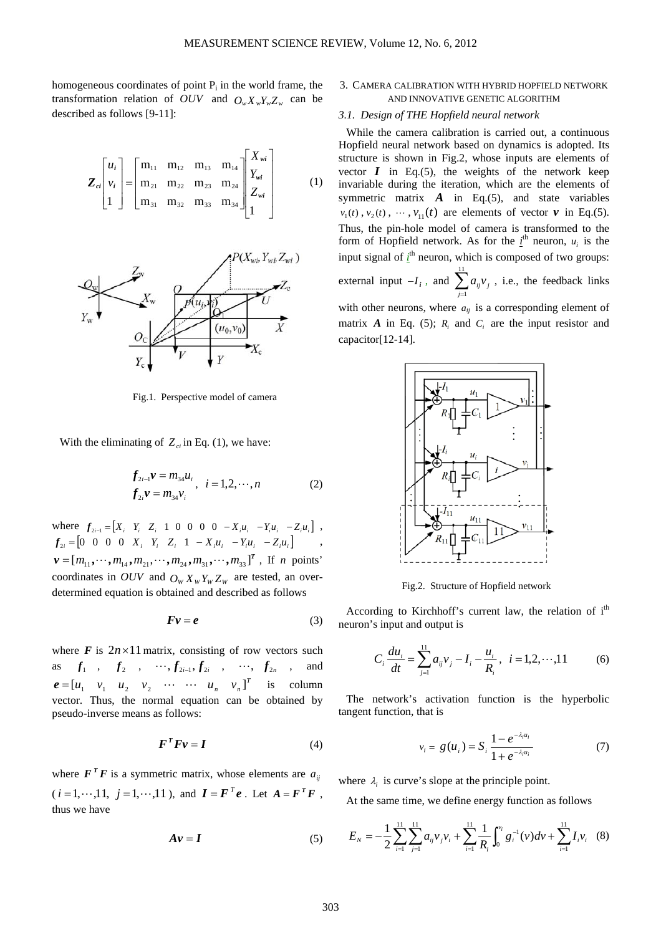homogeneous coordinates of point  $P_i$  in the world frame, the transformation relation of *OUV* and  $O_w X_w Y_w Z_w$  can be described as follows [9-11]:

$$
\mathbf{Z}_{ci} \begin{bmatrix} u_i \\ v_i \\ 1 \end{bmatrix} = \begin{bmatrix} m_{11} & m_{12} & m_{13} & m_{14} \\ m_{21} & m_{22} & m_{23} & m_{24} \\ m_{31} & m_{32} & m_{33} & m_{34} \end{bmatrix} \begin{bmatrix} X_{wi} \\ Y_{wi} \\ Z_{wi} \\ 1 \end{bmatrix}
$$
 (1)



Fig.1. Perspective model of camera

With the eliminating of  $Z_{ci}$  in Eq. (1), we have:

$$
f_{2i-1}v = m_{34}u_i, i = 1, 2, \cdots, n
$$
  
\n
$$
f_{2i}v = m_{34}v_i, i = 1, 2, \cdots, n
$$
 (2)

where  $f_{2i-1} = [X_i \ Y_i \ Z_i \ 1 \ 0 \ 0 \ 0 \ -X_i u_i \ -Y_i u_i \ -Z_i u_i]$ ,  $f_{2i} = \begin{bmatrix} 0 & 0 & 0 & 0 & X_i & Y_i & Z_i & 1 & -X_iu_i & -Y_iu_i & -Z_iu_i \end{bmatrix}$ ,  $\mathbf{v} = [m_{11}, \dots, m_{14}, m_{21}, \dots, m_{24}, m_{31}, \dots, m_{33}]^T$ , If *n* points' coordinates in OUV and  $O_W X_W Y_W Z_W$  are tested, an overdetermined equation is obtained and described as follows

$$
Fv = e \tag{3}
$$

where  $\vec{F}$  is  $2n \times 11$  matrix, consisting of row vectors such as  $f_1$  ,  $f_2$  ,  $\cdots$ ,  $f_{2i-1}$ ,  $f_{2i}$  ,  $\cdots$ ,  $f_{2n}$  , and  $\boldsymbol{e} = [u_1 \quad v_1 \quad u_2 \quad v_2 \quad \cdots \quad \cdots \quad u_n \quad v_n]^T$  is column vector. Thus, the normal equation can be obtained by pseudo-inverse means as follows:

$$
\boldsymbol{F}^T \boldsymbol{F} \boldsymbol{v} = \boldsymbol{I} \tag{4}
$$

where  $F^T F$  is a symmetric matrix, whose elements are  $a_{ij}$  $(i = 1, \dots, 11, j = 1, \dots, 11)$ , and  $\mathbf{I} = \mathbf{F}^T \mathbf{e}$ . Let  $\mathbf{A} = \mathbf{F}^T \mathbf{F}$ , thus we have

$$
A v = I \tag{5}
$$

## 3. CAMERA CALIBRATION WITH HYBRID HOPFIELD NETWORK AND INNOVATIVE GENETIC ALGORITHM

# *3.1. Design of THE Hopfield neural network*

While the camera calibration is carried out, a continuous Hopfield neural network based on dynamics is adopted. Its structure is shown in Fig.2, whose inputs are elements of vector  $I$  in Eq.(5), the weights of the network keep invariable during the iteration, which are the elements of symmetric matrix  $\vec{A}$  in Eq.(5), and state variables  $v_1(t)$ ,  $v_2(t)$ ,  $\cdots$ ,  $v_{11}(t)$  are elements of vector  $v$  in Eq.(5). Thus, the pin-hole model of camera is transformed to the form of Hopfield network. As for the  $i^{\text{th}}$  neuron,  $u_i$  is the input signal of  $i<sup>th</sup>$  neuron, which is composed of two groups: external input  $-I_i$ , and  $\sum_{j=1}^{11}$  $j=1$  $a_{ij}v_j$ , i.e., the feedback links with other neurons, where  $a_{ij}$  is a corresponding element of matrix  $\vec{A}$  in Eq. (5);  $\vec{R}$  and  $\vec{C}$  are the input resistor and capacitor[12-14].



Fig.2. Structure of Hopfield network

According to Kirchhoff's current law, the relation of i<sup>th</sup> neuron's input and output is

$$
C_i \frac{du_i}{dt} = \sum_{j=1}^{11} a_{ij} v_j - I_i - \frac{u_i}{R_i}, \quad i = 1, 2, \cdots, 11 \tag{6}
$$

The network's activation function is the hyperbolic tangent function, that is

$$
v_i = g(u_i) = S_i \frac{1 - e^{-\lambda_i u_i}}{1 + e^{-\lambda_i u_i}} \tag{7}
$$

where  $\lambda_i$  is curve's slope at the principle point.

At the same time, we define energy function as follows

$$
E_N = -\frac{1}{2} \sum_{i=1}^{11} \sum_{j=1}^{11} a_{ij} v_j v_i + \sum_{i=1}^{11} \frac{1}{R_i} \int_0^{v_i} g_i^{-1}(v) dv + \sum_{i=1}^{11} I_i v_i \quad (8)
$$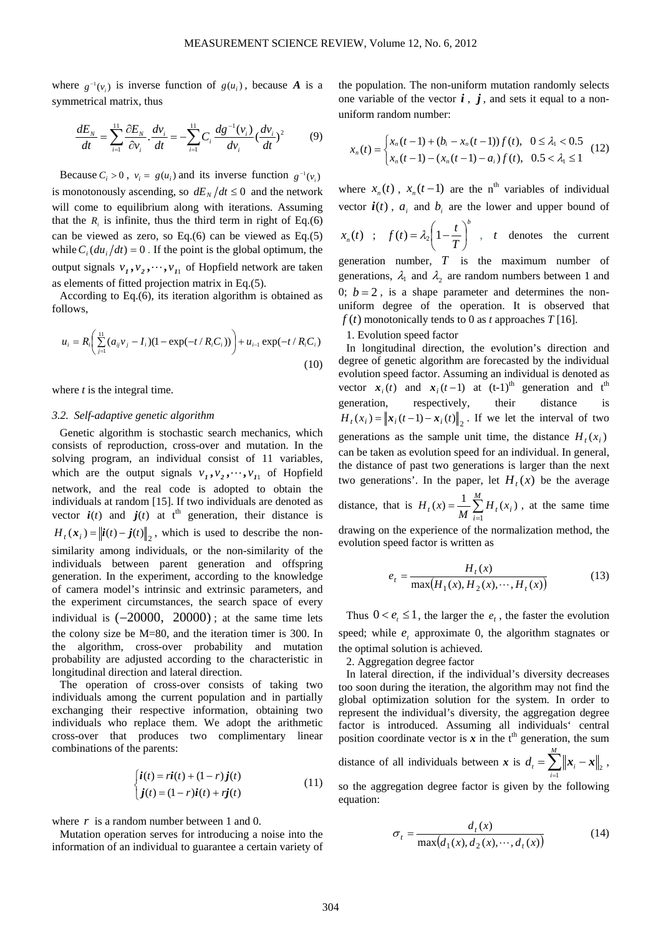where  $g^{-1}(v_i)$  is inverse function of  $g(u_i)$ , because *A* is a symmetrical matrix, thus

$$
\frac{dE_N}{dt} = \sum_{i=1}^{11} \frac{\partial E_N}{\partial v_i} \cdot \frac{dv_i}{dt} = -\sum_{i=1}^{11} C_i \frac{dg^{-1}(v_i)}{dv_i} (\frac{dv_i}{dt})^2 \tag{9}
$$

Because  $C_i > 0$ ,  $v_i = g(u_i)$  and its inverse function  $g^{-1}(v_i)$ is monotonously ascending, so  $dE_N/dt \leq 0$  and the network will come to equilibrium along with iterations. Assuming that the  $R_i$  is infinite, thus the third term in right of Eq.(6) can be viewed as zero, so Eq.(6) can be viewed as Eq.(5) while  $C_i$  (*du<sub>i</sub>* /*dt*) = 0. If the point is the global optimum, the output signals  $v_1$ ,  $v_2$ ,  $\dots$ ,  $v_{11}$  of Hopfield network are taken as elements of fitted projection matrix in Eq.(5).

According to Eq.(6), its iteration algorithm is obtained as follows,

$$
u_i = R_i \left( \sum_{j=1}^{11} (a_{ij}v_j - I_i)(1 - \exp(-t/R_i C_i)) \right) + u_{i-1} \exp(-t/R_i C_i)
$$
\n(10)

where *t* is the integral time.

#### *3.2. Self-adaptive genetic algorithm*

Genetic algorithm is stochastic search mechanics, which consists of reproduction, cross-over and mutation. In the solving program, an individual consist of 11 variables, which are the output signals  $v_1, v_2, \dots, v_{11}$  of Hopfield network, and the real code is adopted to obtain the individuals at random [15]. If two individuals are denoted as vector  $i(t)$  and  $j(t)$  at t<sup>th</sup> generation, their distance is  $H_t$ ( $\mathbf{x}_i$ ) =  $\left\| \mathbf{i}(t) - \mathbf{j}(t) \right\|_2$ , which is used to describe the nonsimilarity among individuals, or the non-similarity of the individuals between parent generation and offspring generation. In the experiment, according to the knowledge of camera model's intrinsic and extrinsic parameters, and the experiment circumstances, the search space of every individual is  $(-20000, 20000)$ ; at the same time lets the colony size be M=80, and the iteration timer is 300. In the algorithm, cross-over probability and mutation probability are adjusted according to the characteristic in longitudinal direction and lateral direction.

The operation of cross-over consists of taking two individuals among the current population and in partially exchanging their respective information, obtaining two individuals who replace them. We adopt the arithmetic cross-over that produces two complimentary linear combinations of the parents:

$$
\begin{cases}\n\boldsymbol{i}(t) = r\boldsymbol{i}(t) + (1-r)\boldsymbol{j}(t) \\
\boldsymbol{j}(t) = (1-r)\boldsymbol{i}(t) + r\boldsymbol{j}(t)\n\end{cases} \tag{11}
$$

where *r* is a random number between 1 and 0.

Mutation operation serves for introducing a noise into the information of an individual to guarantee a certain variety of

the population. The non-uniform mutation randomly selects one variable of the vector  $\boldsymbol{i}$ ,  $\boldsymbol{j}$ , and sets it equal to a nonuniform random number:

$$
x_n(t) = \begin{cases} x_n(t-1) + (b_i - x_n(t-1))f(t), & 0 \le \lambda_i < 0.5\\ x_n(t-1) - (x_n(t-1) - a_i)f(t), & 0.5 < \lambda_i \le 1 \end{cases}
$$
(12)

where  $x_n(t)$ ,  $x_n(t-1)$  are the n<sup>th</sup> variables of individual vector  $\mathbf{i}(t)$ ,  $a_i$  and  $b_i$  are the lower and upper bound of

$$
x_n(t)
$$
 ;  $f(t) = \lambda_2 \left(1 - \frac{t}{T}\right)^b$ , t denotes the current

generation number, *T* is the maximum number of generations,  $\lambda_1$  and  $\lambda_2$  are random numbers between 1 and 0;  $b = 2$ , is a shape parameter and determines the nonuniform degree of the operation. It is observed that  $f(t)$  monotonically tends to 0 as *t* approaches *T* [16].

1. Evolution speed factor

In longitudinal direction, the evolution's direction and degree of genetic algorithm are forecasted by the individual evolution speed factor. Assuming an individual is denoted as vector  $\mathbf{x}_i(t)$  and  $\mathbf{x}_i(t-1)$  at  $(t-1)$ <sup>th</sup> generation and t<sup>th</sup> generation, respectively, their distance is  $H_t(x_i) = ||x_i(t-1) - x_i(t)||_2$ . If we let the interval of two generations as the sample unit time, the distance  $H_t(x_i)$ can be taken as evolution speed for an individual. In general, the distance of past two generations is larger than the next two generations'. In the paper, let  $H_t(x)$  be the average distance, that is  $H_t(x) = \frac{1}{M} \sum_{i=1}^{M}$  $=\frac{1}{\sqrt{2}}\sum_{n=1}^{M}$  $H_t(x) = \frac{1}{M} \sum_{i=1}^{M} H_t(x_i)$ 1  $f(x) = \frac{1}{x} \sum_{i=1}^{M} H_i(x_i)$ , at the same time

drawing on the experience of the normalization method, the evolution speed factor is written as

$$
e_{t} = \frac{H_{t}(x)}{\max(H_{1}(x), H_{2}(x), \cdots, H_{t}(x))}
$$
(13)

Thus  $0 < e_t \leq 1$ , the larger the  $e_t$ , the faster the evolution speed; while  $e_t$  approximate 0, the algorithm stagnates or the optimal solution is achieved.

2. Aggregation degree factor

In lateral direction, if the individual's diversity decreases too soon during the iteration, the algorithm may not find the global optimization solution for the system. In order to represent the individual's diversity, the aggregation degree factor is introduced. Assuming all individuals' central position coordinate vector is  $x$  in the t<sup>th</sup> generation, the sum

distance of all individuals between *x* is  $d_i = \sum_{i=1}^{M} ||x_i - y_i||$  $d_{t} = \sum_{i=1}^{t} ||x_{i} - x||_{2}$ ,

so the aggregation degree factor is given by the following equation:

$$
\sigma_t = \frac{d_t(x)}{\max(d_1(x), d_2(x), \cdots, d_t(x))}
$$
(14)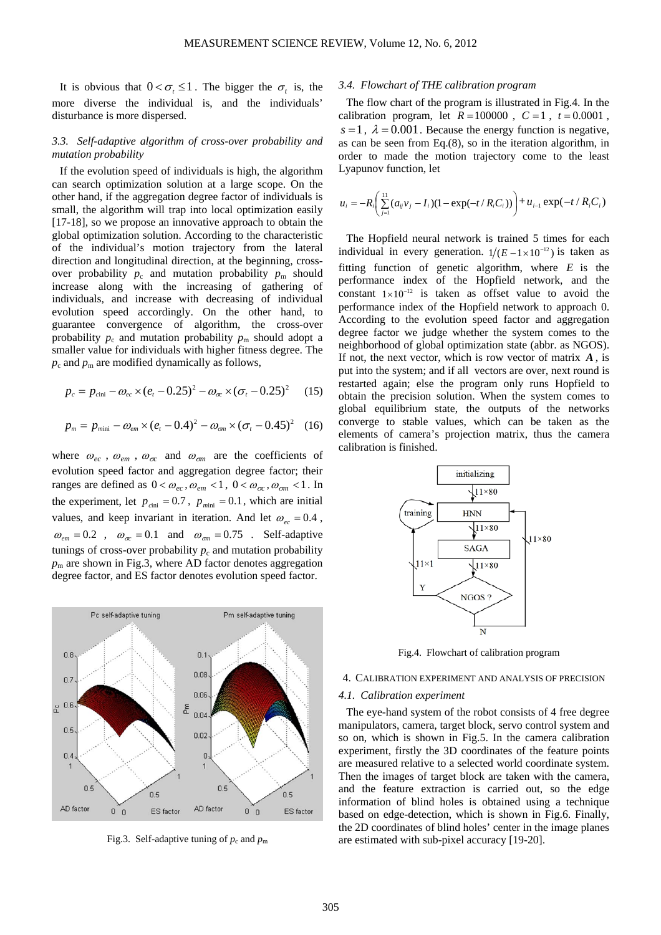It is obvious that  $0 < \sigma$ ,  $\leq 1$ . The bigger the  $\sigma$ , is, the more diverse the individual is, and the individuals' disturbance is more dispersed.

# *3.3. Self-adaptive algorithm of cross-over probability and mutation probability*

If the evolution speed of individuals is high, the algorithm can search optimization solution at a large scope. On the other hand, if the aggregation degree factor of individuals is small, the algorithm will trap into local optimization easily [17-18], so we propose an innovative approach to obtain the global optimization solution. According to the characteristic of the individual's motion trajectory from the lateral direction and longitudinal direction, at the beginning, crossover probability  $p_c$  and mutation probability  $p_m$  should increase along with the increasing of gathering of individuals, and increase with decreasing of individual evolution speed accordingly. On the other hand, to guarantee convergence of algorithm, the cross-over probability  $p_c$  and mutation probability  $p_m$  should adopt a smaller value for individuals with higher fitness degree. The  $p_c$  and  $p_m$  are modified dynamically as follows,

$$
p_c = p_{\text{cini}} - \omega_{ec} \times (e_t - 0.25)^2 - \omega_{\infty} \times (\sigma_t - 0.25)^2 \tag{15}
$$

$$
p_m = p_{min} - \omega_{em} \times (e_t - 0.4)^2 - \omega_{em} \times (\sigma_t - 0.45)^2
$$
 (16)

where  $\omega_{ec}$ ,  $\omega_{em}$ ,  $\omega_{\sigma c}$  and  $\omega_{\sigma m}$  are the coefficients of evolution speed factor and aggregation degree factor; their ranges are defined as  $0 < \omega_{ec}$ ,  $\omega_{em} < 1$ ,  $0 < \omega_{\sigma c}$ ,  $\omega_{\sigma m} < 1$ . In the experiment, let  $p_{\text{cini}} = 0.7$ ,  $p_{\text{min}} = 0.1$ , which are initial values, and keep invariant in iteration. And let  $\omega_{ec} = 0.4$ ,  $\omega_{em} = 0.2$ ,  $\omega_{\sigma} = 0.1$  and  $\omega_{\sigma} = 0.75$ . Self-adaptive tunings of cross-over probability  $p_c$  and mutation probability  $p<sub>m</sub>$  are shown in Fig.3, where AD factor denotes aggregation degree factor, and ES factor denotes evolution speed factor.



Fig.3. Self-adaptive tuning of  $p_c$  and  $p_m$ 

## *3.4. Flowchart of THE calibration program*

The flow chart of the program is illustrated in Fig.4. In the calibration program, let  $R = 100000$ ,  $C = 1$ ,  $t = 0.0001$ ,  $s = 1$ ,  $\lambda = 0.001$ . Because the energy function is negative, as can be seen from Eq.(8), so in the iteration algorithm, in order to made the motion trajectory come to the least Lyapunov function, let

$$
u_i = -R_i \bigg( \sum_{j=1}^{11} (a_{ij}v_j - I_i)(1 - \exp(-t/R_iC_i)) \bigg) + u_{i-1} \exp(-t/R_iC_i)
$$

The Hopfield neural network is trained 5 times for each individual in every generation.  $1/(E - 1 \times 10^{-12})$  is taken as fitting function of genetic algorithm, where *E* is the performance index of the Hopfield network, and the constant  $1 \times 10^{-12}$  is taken as offset value to avoid the performance index of the Hopfield network to approach 0. According to the evolution speed factor and aggregation degree factor we judge whether the system comes to the neighborhood of global optimization state (abbr. as NGOS). If not, the next vector, which is row vector of matrix *A* , is put into the system; and if all vectors are over, next round is restarted again; else the program only runs Hopfield to obtain the precision solution. When the system comes to global equilibrium state, the outputs of the networks converge to stable values, which can be taken as the elements of camera's projection matrix, thus the camera calibration is finished.



Fig.4. Flowchart of calibration program

## 4. CALIBRATION EXPERIMENT AND ANALYSIS OF PRECISION

## *4.1. Calibration experiment*

The eye-hand system of the robot consists of 4 free degree manipulators, camera, target block, servo control system and so on, which is shown in Fig.5. In the camera calibration experiment, firstly the 3D coordinates of the feature points are measured relative to a selected world coordinate system. Then the images of target block are taken with the camera, and the feature extraction is carried out, so the edge information of blind holes is obtained using a technique based on edge-detection, which is shown in Fig.6. Finally, the 2D coordinates of blind holes' center in the image planes are estimated with sub-pixel accuracy [19-20].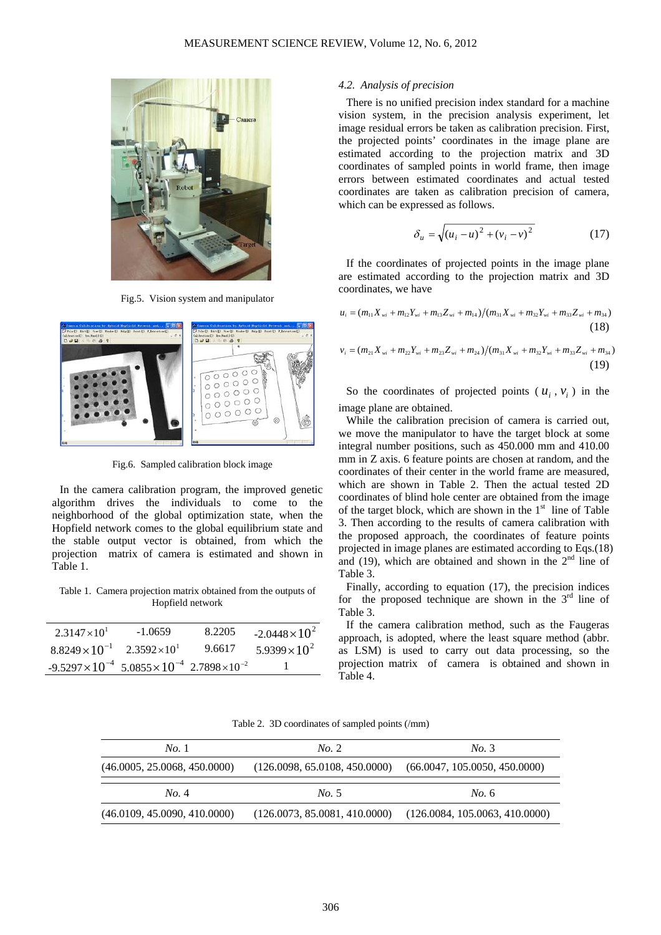

Fig.5. Vision system and manipulator



Fig.6. Sampled calibration block image

In the camera calibration program, the improved genetic algorithm drives the individuals to come to the neighborhood of the global optimization state, when the Hopfield network comes to the global equilibrium state and the stable output vector is obtained, from which the projection matrix of camera is estimated and shown in Table 1.

Table 1. Camera projection matrix obtained from the outputs of Hopfield network

| $2.3147 \times 10^{1}$                                                   | $-1.0659$            | 8.2205 | $-2.0448 \times 10^{2}$ |
|--------------------------------------------------------------------------|----------------------|--------|-------------------------|
| $8.8249\times10^{-1}$                                                    | $2.3592\times10^{1}$ | 9.6617 | $5.9399 \times 10^{2}$  |
| $-9.5297 \times 10^{-4}$ $5.0855 \times 10^{-4}$ $2.7898 \times 10^{-2}$ |                      |        |                         |

### *4.2. Analysis of precision*

There is no unified precision index standard for a machine vision system, in the precision analysis experiment, let image residual errors be taken as calibration precision. First, the projected points' coordinates in the image plane are estimated according to the projection matrix and 3D coordinates of sampled points in world frame, then image errors between estimated coordinates and actual tested coordinates are taken as calibration precision of camera, which can be expressed as follows.

$$
\delta_u = \sqrt{(u_i - u)^2 + (v_i - v)^2}
$$
 (17)

If the coordinates of projected points in the image plane are estimated according to the projection matrix and 3D coordinates, we have

$$
u_i = (m_{11}X_{wi} + m_{12}Y_{wi} + m_{13}Z_{wi} + m_{14})/(m_{31}X_{wi} + m_{32}Y_{wi} + m_{33}Z_{wi} + m_{34})
$$
\n(18)

$$
v_i = (m_{21}X_{wi} + m_{22}Y_{wi} + m_{23}Z_{wi} + m_{24})/(m_{31}X_{wi} + m_{32}Y_{wi} + m_{33}Z_{wi} + m_{34})
$$
\n(19)

So the coordinates of projected points ( $u_i$ ,  $v_i$ ) in the image plane are obtained.

While the calibration precision of camera is carried out, we move the manipulator to have the target block at some integral number positions, such as 450.000 mm and 410.00 mm in Z axis. 6 feature points are chosen at random, and the coordinates of their center in the world frame are measured, which are shown in Table 2. Then the actual tested 2D coordinates of blind hole center are obtained from the image of the target block, which are shown in the 1<sup>st</sup> line of Table 3. Then according to the results of camera calibration with the proposed approach, the coordinates of feature points projected in image planes are estimated according to Eqs.(18) and (19), which are obtained and shown in the  $2<sup>nd</sup>$  line of Table 3.

Finally, according to equation (17), the precision indices for the proposed technique are shown in the  $3<sup>rd</sup>$  line of Table 3.

If the camera calibration method, such as the Faugeras approach, is adopted, where the least square method (abbr. as LSM) is used to carry out data processing, so the projection matrix of camera is obtained and shown in Table 4.

Table 2. 3D coordinates of sampled points (/mm)

| No.1                         | No. 2                         | No. 3                         |
|------------------------------|-------------------------------|-------------------------------|
| (46.0005, 25.0068, 450.0000) | (126.0098, 65.0108, 450.0000) | (66.0047, 105.0050, 450.0000) |
| No. 4                        | No. 5                         | No. 6                         |
|                              |                               |                               |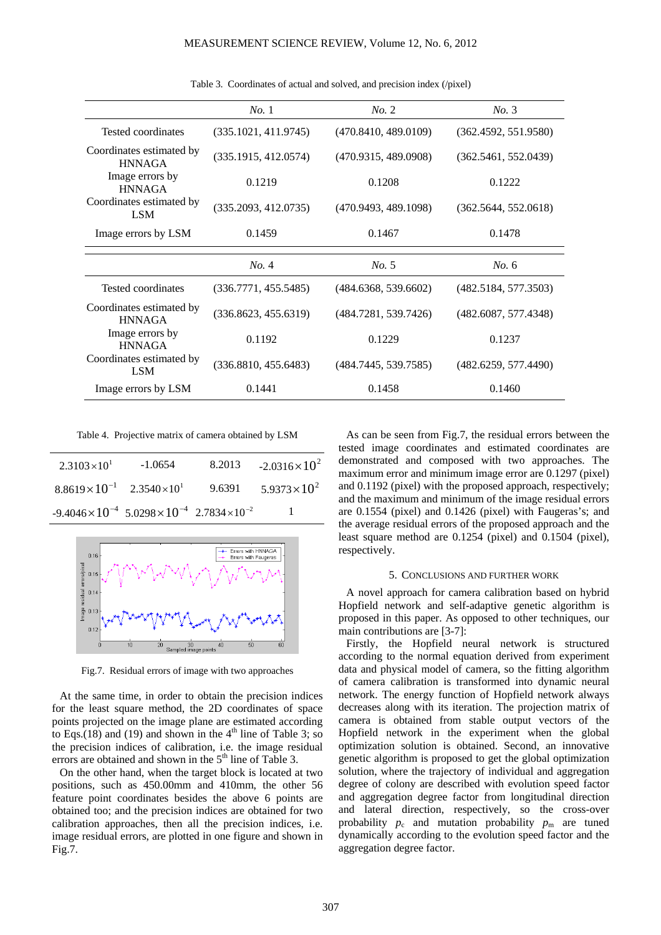|                                           | No.1                 | No. 2                | No. 3                |
|-------------------------------------------|----------------------|----------------------|----------------------|
| Tested coordinates                        | (335.1021, 411.9745) | (470.8410, 489.0109) | (362.4592, 551.9580) |
| Coordinates estimated by<br><b>HNNAGA</b> | (335.1915, 412.0574) | (470.9315, 489.0908) | (362.5461, 552.0439) |
| Image errors by<br><b>HNNAGA</b>          | 0.1219               | 0.1208               | 0.1222               |
| Coordinates estimated by<br><b>LSM</b>    | (335.2093, 412.0735) | (470.9493, 489.1098) | (362.5644, 552.0618) |
| Image errors by LSM                       | 0.1459               | 0.1467               | 0.1478               |
|                                           |                      |                      |                      |
|                                           | No. 4                | No. 5                | No. 6                |
| Tested coordinates                        | (336.7771, 455.5485) | (484.6368, 539.6602) | (482.5184, 577.3503) |
|                                           |                      |                      |                      |
| Coordinates estimated by<br><b>HNNAGA</b> | (336.8623, 455.6319) | (484.7281, 539.7426) | (482.6087, 577.4348) |
| Image errors by<br><b>HNNAGA</b>          | 0.1192               | 0.1229               | 0.1237               |
| Coordinates estimated by<br><b>LSM</b>    | (336.8810, 455.6483) | (484.7445, 539.7585) | (482.6259, 577.4490) |

Table 3. Coordinates of actual and solved, and precision index (/pixel)

Table 4. Projective matrix of camera obtained by LSM

| $2.3103 \times 10^{1}$                                                   | $-1.0654$ | 8.2013 | $-2.0316\times10^{2}$  |
|--------------------------------------------------------------------------|-----------|--------|------------------------|
| $8.8619\times10^{-1}$ $2.3540\times10^{1}$                               |           | 9.6391 | $5.9373 \times 10^{2}$ |
| $-9.4046 \times 10^{-4}$ 5.0298 $\times 10^{-4}$ 2.7834 $\times 10^{-2}$ |           |        | $\blacksquare$         |



Fig.7. Residual errors of image with two approaches

At the same time, in order to obtain the precision indices for the least square method, the 2D coordinates of space points projected on the image plane are estimated according to Eqs.(18) and (19) and shown in the  $4<sup>th</sup>$  line of Table 3; so the precision indices of calibration, i.e. the image residual errors are obtained and shown in the  $5<sup>th</sup>$  line of Table 3.

On the other hand, when the target block is located at two positions, such as 450.00mm and 410mm, the other 56 feature point coordinates besides the above 6 points are obtained too; and the precision indices are obtained for two calibration approaches, then all the precision indices, i.e. image residual errors, are plotted in one figure and shown in Fig.7.

As can be seen from Fig.7, the residual errors between the tested image coordinates and estimated coordinates are demonstrated and composed with two approaches. The maximum error and minimum image error are 0.1297 (pixel) and 0.1192 (pixel) with the proposed approach, respectively; and the maximum and minimum of the image residual errors are 0.1554 (pixel) and 0.1426 (pixel) with Faugeras's; and the average residual errors of the proposed approach and the least square method are 0.1254 (pixel) and 0.1504 (pixel), respectively.

#### 5. CONCLUSIONS AND FURTHER WORK

A novel approach for camera calibration based on hybrid Hopfield network and self-adaptive genetic algorithm is proposed in this paper. As opposed to other techniques, our main contributions are [3-7]:

Firstly, the Hopfield neural network is structured according to the normal equation derived from experiment data and physical model of camera, so the fitting algorithm of camera calibration is transformed into dynamic neural network. The energy function of Hopfield network always decreases along with its iteration. The projection matrix of camera is obtained from stable output vectors of the Hopfield network in the experiment when the global optimization solution is obtained. Second, an innovative genetic algorithm is proposed to get the global optimization solution, where the trajectory of individual and aggregation degree of colony are described with evolution speed factor and aggregation degree factor from longitudinal direction and lateral direction, respectively, so the cross-over probability  $p_c$  and mutation probability  $p_m$  are tuned dynamically according to the evolution speed factor and the aggregation degree factor.